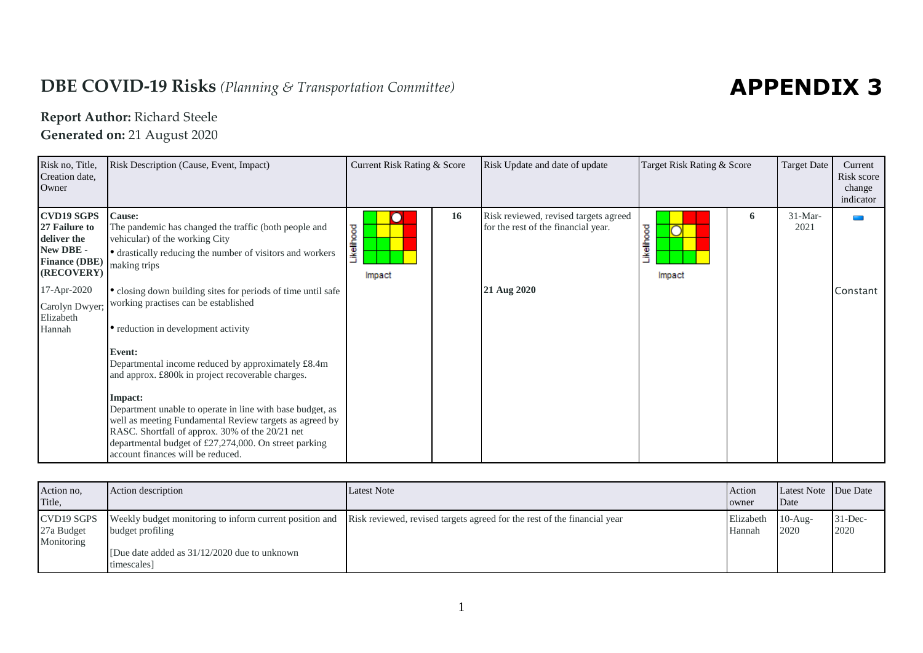## **DBE COVID-19 Risks** *(Planning & Transportation Committee)*

## **APPENDIX 3**

## **Report Author:** Richard Steele

**Generated on:** 21 August 2020

| Risk no, Title,<br>Creation date,<br>Owner                                                                                                                   | Risk Description (Cause, Event, Impact)                                                                                                                                                                                                                                                                                                                                                                                                                                                                                                                                                                                                                                                                                                       | Current Risk Rating & Score |           | Risk Update and date of update                                                              | Target Risk Rating & Score |   | <b>Target Date</b> | Current<br>Risk score<br>change<br>indicator |
|--------------------------------------------------------------------------------------------------------------------------------------------------------------|-----------------------------------------------------------------------------------------------------------------------------------------------------------------------------------------------------------------------------------------------------------------------------------------------------------------------------------------------------------------------------------------------------------------------------------------------------------------------------------------------------------------------------------------------------------------------------------------------------------------------------------------------------------------------------------------------------------------------------------------------|-----------------------------|-----------|---------------------------------------------------------------------------------------------|----------------------------|---|--------------------|----------------------------------------------|
| <b>CVD19 SGPS</b><br>27 Failure to<br>deliver the<br>New DBE -<br><b>Finance (DBE)</b><br>(RECOVERY)<br>17-Apr-2020<br>Carolyn Dwyer;<br>Elizabeth<br>Hannah | <b>Cause:</b><br>The pandemic has changed the traffic (both people and<br>vehicular) of the working City<br>• drastically reducing the number of visitors and workers<br>making trips<br>• closing down building sites for periods of time until safe<br>working practises can be established<br>• reduction in development activity<br>Event:<br>Departmental income reduced by approximately £8.4m<br>and approx. £800k in project recoverable charges.<br>Impact:<br>Department unable to operate in line with base budget, as<br>well as meeting Fundamental Review targets as agreed by<br>RASC. Shortfall of approx. 30% of the 20/21 net<br>departmental budget of £27,274,000. On street parking<br>account finances will be reduced. | Likelihood<br>Impact        | <b>16</b> | Risk reviewed, revised targets agreed<br>for the rest of the financial year.<br>21 Aug 2020 | Likelihood<br>Impact       | 6 | $31-Mar-$<br>2021  | Constant                                     |

| Action no.<br>Title,                   | Action description                                           | <b>Latest Note</b>                                                                                                               | Action<br>owner             | Latest Note Due Date<br>Date |                     |
|----------------------------------------|--------------------------------------------------------------|----------------------------------------------------------------------------------------------------------------------------------|-----------------------------|------------------------------|---------------------|
| CVD19 SGPS<br>27a Budget<br>Monitoring | budget profiling                                             | Weekly budget monitoring to inform current position and Risk reviewed, revised targets agreed for the rest of the financial year | Elizabeth 10-Aug-<br>Hannah | 2020                         | $31 - Dec-$<br>2020 |
|                                        | [Due date added as $31/12/2020$ due to unknown<br>timescales |                                                                                                                                  |                             |                              |                     |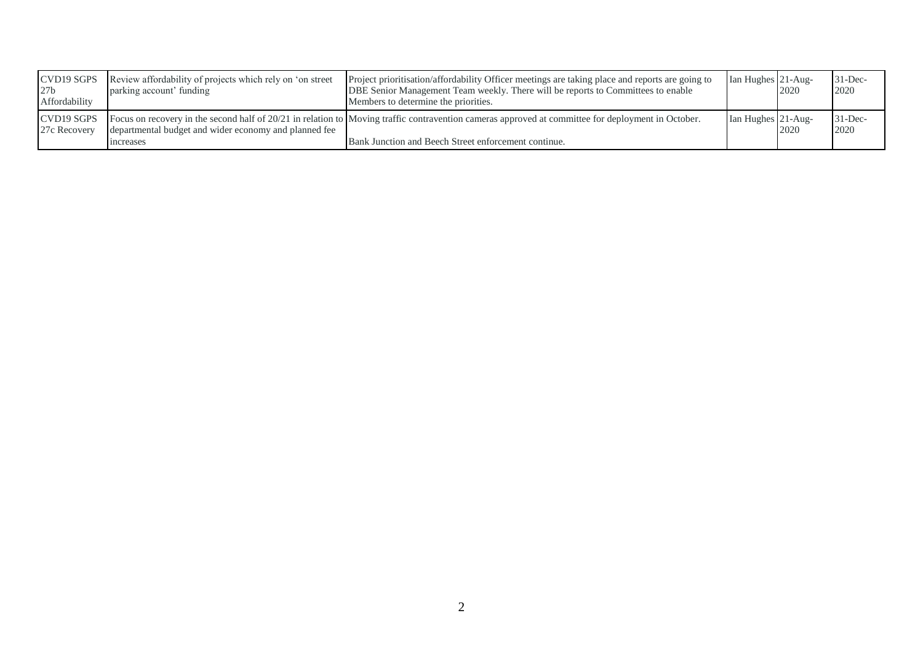| CVD19 SGPS<br>27 <sub>b</sub><br>Affordability | Review affordability of projects which rely on 'on street<br>parking account' funding | Project prioritisation/affordability Officer meetings are taking place and reports are going to<br>DBE Senior Management Team weekly. There will be reports to Committees to enable<br>Members to determine the priorities. | Ian Hughes 21-Aug- | 2020 | $31 - Dec-$<br>2020 |
|------------------------------------------------|---------------------------------------------------------------------------------------|-----------------------------------------------------------------------------------------------------------------------------------------------------------------------------------------------------------------------------|--------------------|------|---------------------|
| CVD19 SGPS<br>27c Recovery                     | departmental budget and wider economy and planned fee<br><i>ncreases</i>              | Focus on recovery in the second half of 20/21 in relation to Moving traffic contravention cameras approved at committee for deployment in October.<br>Bank Junction and Beech Street enforcement continue.                  | Ian Hughes 21-Aug- | 2020 | $31$ -Dec-<br>2020  |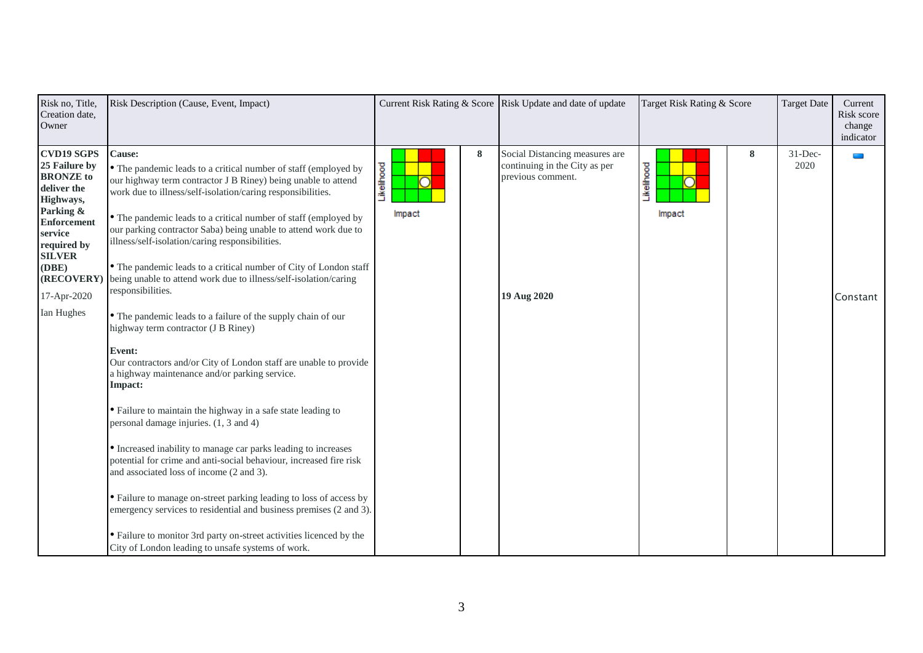| Risk no, Title,<br>Creation date,<br>Owner                                                                                                                                                                           | Risk Description (Cause, Event, Impact)                                                                                                                                                                                                                                                                                                                                                                                                                                                                                                                                                                                                                                                                                                                                                                                                                                                                                                                                                                                                                                                                                                                                                                                                                                                                                                                                                  |                           | Current Risk Rating & Score Risk Update and date of update                                          | Target Risk Rating & Score | <b>Target Date</b> | Current<br>Risk score<br>change<br>indicator |
|----------------------------------------------------------------------------------------------------------------------------------------------------------------------------------------------------------------------|------------------------------------------------------------------------------------------------------------------------------------------------------------------------------------------------------------------------------------------------------------------------------------------------------------------------------------------------------------------------------------------------------------------------------------------------------------------------------------------------------------------------------------------------------------------------------------------------------------------------------------------------------------------------------------------------------------------------------------------------------------------------------------------------------------------------------------------------------------------------------------------------------------------------------------------------------------------------------------------------------------------------------------------------------------------------------------------------------------------------------------------------------------------------------------------------------------------------------------------------------------------------------------------------------------------------------------------------------------------------------------------|---------------------------|-----------------------------------------------------------------------------------------------------|----------------------------|--------------------|----------------------------------------------|
| <b>CVD19 SGPS</b><br>25 Failure by<br><b>BRONZE</b> to<br>deliver the<br>Highways,<br>Parking &<br><b>Enforcement</b><br>service<br>required by<br><b>SILVER</b><br>(DBE)<br>(RECOVERY)<br>17-Apr-2020<br>Ian Hughes | Cause:<br>• The pandemic leads to a critical number of staff (employed by<br>our highway term contractor J B Riney) being unable to attend<br>work due to illness/self-isolation/caring responsibilities.<br>• The pandemic leads to a critical number of staff (employed by<br>our parking contractor Saba) being unable to attend work due to<br>illness/self-isolation/caring responsibilities.<br>• The pandemic leads to a critical number of City of London staff<br>being unable to attend work due to illness/self-isolation/caring<br>responsibilities.<br>• The pandemic leads to a failure of the supply chain of our<br>highway term contractor (J B Riney)<br>Event:<br>Our contractors and/or City of London staff are unable to provide<br>a highway maintenance and/or parking service.<br>Impact:<br>• Failure to maintain the highway in a safe state leading to<br>personal damage injuries. (1, 3 and 4)<br>• Increased inability to manage car parks leading to increases<br>potential for crime and anti-social behaviour, increased fire risk<br>and associated loss of income (2 and 3).<br>• Failure to manage on-street parking leading to loss of access by<br>emergency services to residential and business premises (2 and 3).<br>• Failure to monitor 3rd party on-street activities licenced by the<br>City of London leading to unsafe systems of work. | 8<br>Likelihood<br>Impact | Social Distancing measures are<br>continuing in the City as per<br>previous comment.<br>19 Aug 2020 | 8<br>Likelihood<br>Impact  | $31$ -Dec-<br>2020 | a an<br>Constant                             |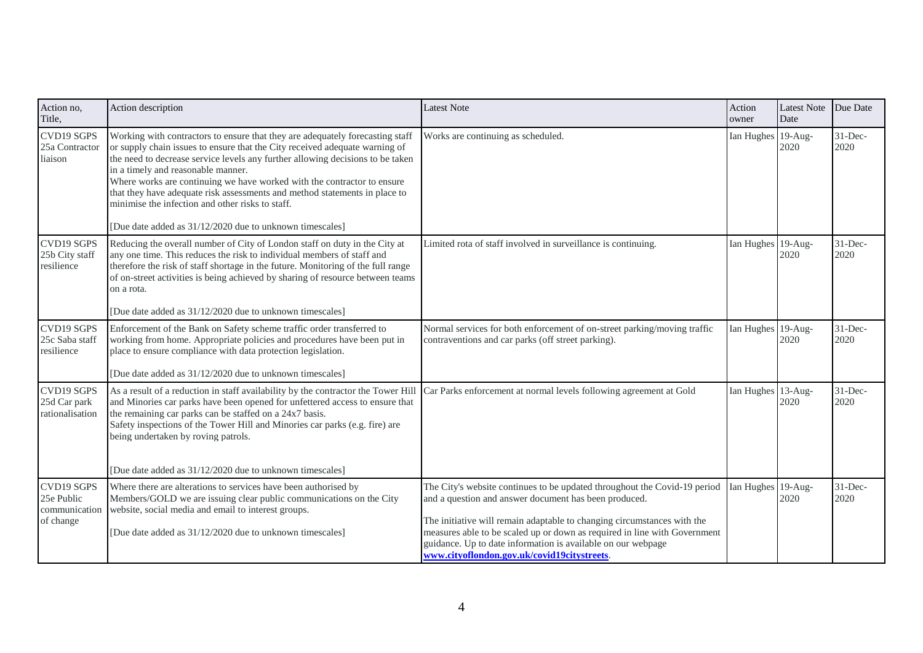| Action no,<br>Title,                                   | Action description                                                                                                                                                                                                                                                                                                                                                                                                                                                                                                                                            | <b>Latest Note</b>                                                                                                                                                                                                                                                                                                                                                                                        | Action<br>owner    | <b>Latest Note</b><br>Date | Due Date           |
|--------------------------------------------------------|---------------------------------------------------------------------------------------------------------------------------------------------------------------------------------------------------------------------------------------------------------------------------------------------------------------------------------------------------------------------------------------------------------------------------------------------------------------------------------------------------------------------------------------------------------------|-----------------------------------------------------------------------------------------------------------------------------------------------------------------------------------------------------------------------------------------------------------------------------------------------------------------------------------------------------------------------------------------------------------|--------------------|----------------------------|--------------------|
| <b>CVD19 SGPS</b><br>25a Contractor<br>liaison         | Working with contractors to ensure that they are adequately forecasting staff<br>or supply chain issues to ensure that the City received adequate warning of<br>the need to decrease service levels any further allowing decisions to be taken<br>in a timely and reasonable manner.<br>Where works are continuing we have worked with the contractor to ensure<br>that they have adequate risk assessments and method statements in place to<br>minimise the infection and other risks to staff.<br>[Due date added as 31/12/2020 due to unknown timescales] | Works are continuing as scheduled.                                                                                                                                                                                                                                                                                                                                                                        | Ian Hughes 19-Aug- | 2020                       | $31$ -Dec-<br>2020 |
| <b>CVD19 SGPS</b><br>25b City staff<br>resilience      | Reducing the overall number of City of London staff on duty in the City at<br>any one time. This reduces the risk to individual members of staff and<br>therefore the risk of staff shortage in the future. Monitoring of the full range<br>of on-street activities is being achieved by sharing of resource between teams<br>on a rota.<br>[Due date added as 31/12/2020 due to unknown timescales]                                                                                                                                                          | Limited rota of staff involved in surveillance is continuing.                                                                                                                                                                                                                                                                                                                                             | Ian Hughes 19-Aug- | 2020                       | $31$ -Dec-<br>2020 |
| CVD19 SGPS<br>25c Saba staff<br>resilience             | Enforcement of the Bank on Safety scheme traffic order transferred to<br>working from home. Appropriate policies and procedures have been put in<br>place to ensure compliance with data protection legislation.<br>[Due date added as 31/12/2020 due to unknown timescales]                                                                                                                                                                                                                                                                                  | Normal services for both enforcement of on-street parking/moving traffic<br>contraventions and car parks (off street parking).                                                                                                                                                                                                                                                                            | Ian Hughes 19-Aug- | 2020                       | $31$ -Dec-<br>2020 |
| CVD19 SGPS<br>25d Car park<br>rationalisation          | As a result of a reduction in staff availability by the contractor the Tower Hill Car Parks enforcement at normal levels following agreement at Gold<br>and Minories car parks have been opened for unfettered access to ensure that<br>the remaining car parks can be staffed on a 24x7 basis.<br>Safety inspections of the Tower Hill and Minories car parks (e.g. fire) are<br>being undertaken by roving patrols.<br>[Due date added as 31/12/2020 due to unknown timescales]                                                                             |                                                                                                                                                                                                                                                                                                                                                                                                           | Ian Hughes 13-Aug- | 2020                       | $31$ -Dec-<br>2020 |
| CVD19 SGPS<br>25e Public<br>communication<br>of change | Where there are alterations to services have been authorised by<br>Members/GOLD we are issuing clear public communications on the City<br>website, social media and email to interest groups.<br>[Due date added as 31/12/2020 due to unknown timescales]                                                                                                                                                                                                                                                                                                     | The City's website continues to be updated throughout the Covid-19 period<br>and a question and answer document has been produced.<br>The initiative will remain adaptable to changing circumstances with the<br>measures able to be scaled up or down as required in line with Government<br>guidance. Up to date information is available on our webpage<br>www.cityoflondon.gov.uk/covid19citystreets. | Ian Hughes 19-Aug- | 2020                       | $31$ -Dec-<br>2020 |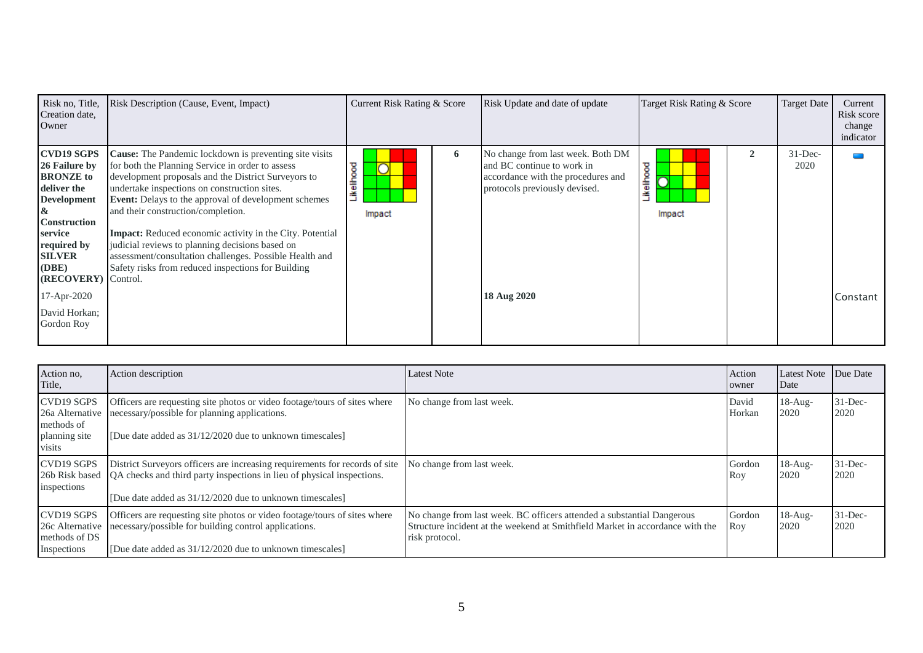| Risk no, Title,<br>Creation date,<br>Owner                                                                                                                                                         | Risk Description (Cause, Event, Impact)                                                                                                                                                                                                                                                                                                                                                                                                                                                                                                                              | Current Risk Rating & Score |   | Risk Update and date of update                                                                                                         | Target Risk Rating & Score | <b>Target Date</b> | Current<br>Risk score<br>change<br>indicator |
|----------------------------------------------------------------------------------------------------------------------------------------------------------------------------------------------------|----------------------------------------------------------------------------------------------------------------------------------------------------------------------------------------------------------------------------------------------------------------------------------------------------------------------------------------------------------------------------------------------------------------------------------------------------------------------------------------------------------------------------------------------------------------------|-----------------------------|---|----------------------------------------------------------------------------------------------------------------------------------------|----------------------------|--------------------|----------------------------------------------|
| <b>CVD19 SGPS</b><br>26 Failure by<br><b>BRONZE</b> to<br>deliver the<br><b>Development</b><br>&<br><b>Construction</b><br>service<br>required by<br><b>SILVER</b><br>(DBE)<br>(RECOVERY) Control. | <b>Cause:</b> The Pandemic lockdown is preventing site visits<br>for both the Planning Service in order to assess<br>development proposals and the District Surveyors to<br>undertake inspections on construction sites.<br><b>Event:</b> Delays to the approval of development schemes<br>and their construction/completion.<br><b>Impact:</b> Reduced economic activity in the City. Potential<br>judicial reviews to planning decisions based on<br>assessment/consultation challenges. Possible Health and<br>Safety risks from reduced inspections for Building | Likelihood<br>Impact        | 6 | No change from last week. Both DM<br>and BC continue to work in<br>accordance with the procedures and<br>protocols previously devised. | Likelihood<br>Impact       | $31$ -Dec-<br>2020 |                                              |
| 17-Apr-2020                                                                                                                                                                                        |                                                                                                                                                                                                                                                                                                                                                                                                                                                                                                                                                                      |                             |   | 18 Aug 2020                                                                                                                            |                            |                    | Constant                                     |
| David Horkan;<br>Gordon Roy                                                                                                                                                                        |                                                                                                                                                                                                                                                                                                                                                                                                                                                                                                                                                                      |                             |   |                                                                                                                                        |                            |                    |                                              |

| Action no.<br>Title,                                                   | Action description                                                                                                                                                                                                | <b>Latest Note</b>                                                                                                                                                        | Action<br>owner | <b>Latest Note</b><br>Date | Due Date           |
|------------------------------------------------------------------------|-------------------------------------------------------------------------------------------------------------------------------------------------------------------------------------------------------------------|---------------------------------------------------------------------------------------------------------------------------------------------------------------------------|-----------------|----------------------------|--------------------|
| CVD19 SGPS<br>26a Alternative<br>methods of<br>planning site<br>visits | Officers are requesting site photos or video footage/tours of sites where<br>necessary/possible for planning applications.<br>[Due date added as 31/12/2020 due to unknown timescales]                            | No change from last week.                                                                                                                                                 | David<br>Horkan | $18-Au$ g-<br>2020         | $31$ -Dec-<br>2020 |
| CVD19 SGPS<br>26b Risk based<br>inspections                            | District Surveyors officers are increasing requirements for records of site<br>QA checks and third party inspections in lieu of physical inspections.<br>[Due date added as 31/12/2020 due to unknown timescales] | No change from last week.                                                                                                                                                 | Gordon<br>Roy   | $18-Au$ g-<br>2020         | $31$ -Dec-<br>2020 |
| CVD19 SGPS<br>26c Alternative<br>methods of DS<br>Inspections          | Officers are requesting site photos or video footage/tours of sites where<br>necessary/possible for building control applications.<br>[Due date added as 31/12/2020 due to unknown timescales]                    | No change from last week. BC officers attended a substantial Dangerous<br>Structure incident at the weekend at Smithfield Market in accordance with the<br>risk protocol. | Gordon<br>Roy   | $18-Aug-$<br>2020          | $31$ -Dec-<br>2020 |